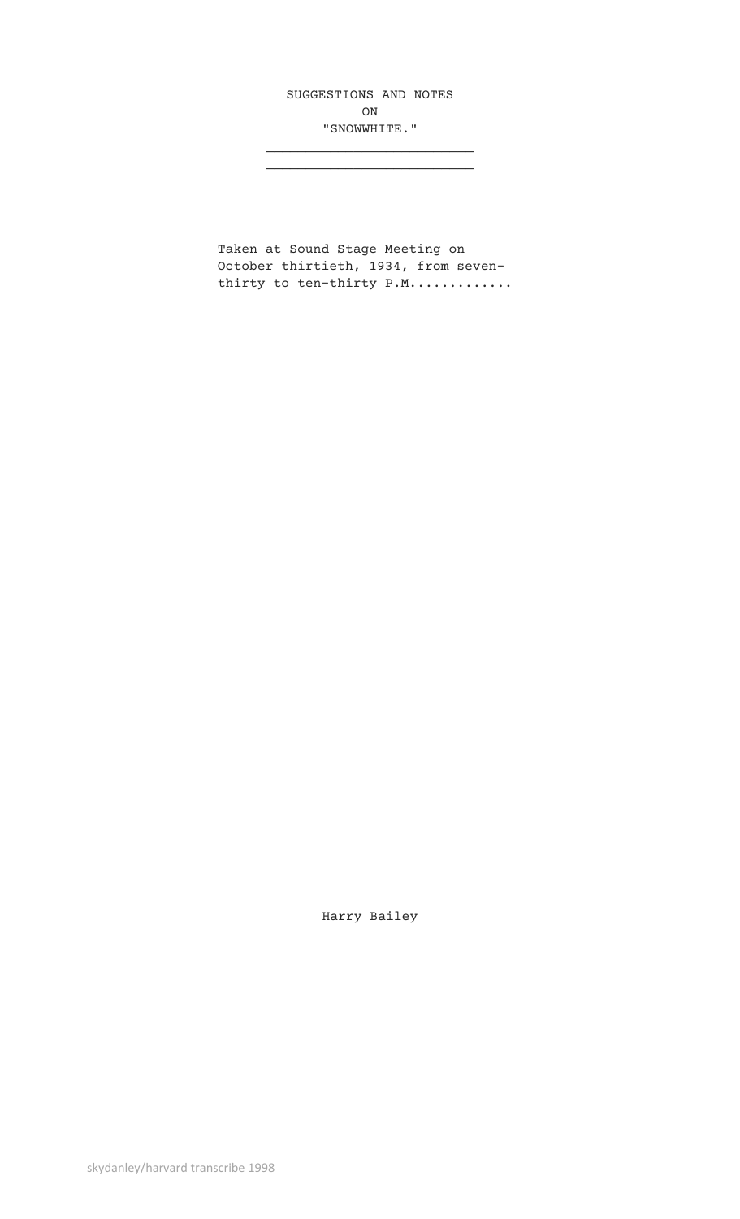SUGGESTIONS AND NOTES ON "SNOWWHITE."

\_\_\_\_\_\_\_\_\_\_\_\_\_\_\_\_\_\_\_\_\_\_\_\_\_\_

Taken at Sound Stage Meeting on October thirtieth, 1934, from seventhirty to ten-thirty P.M.............

Harry Bailey